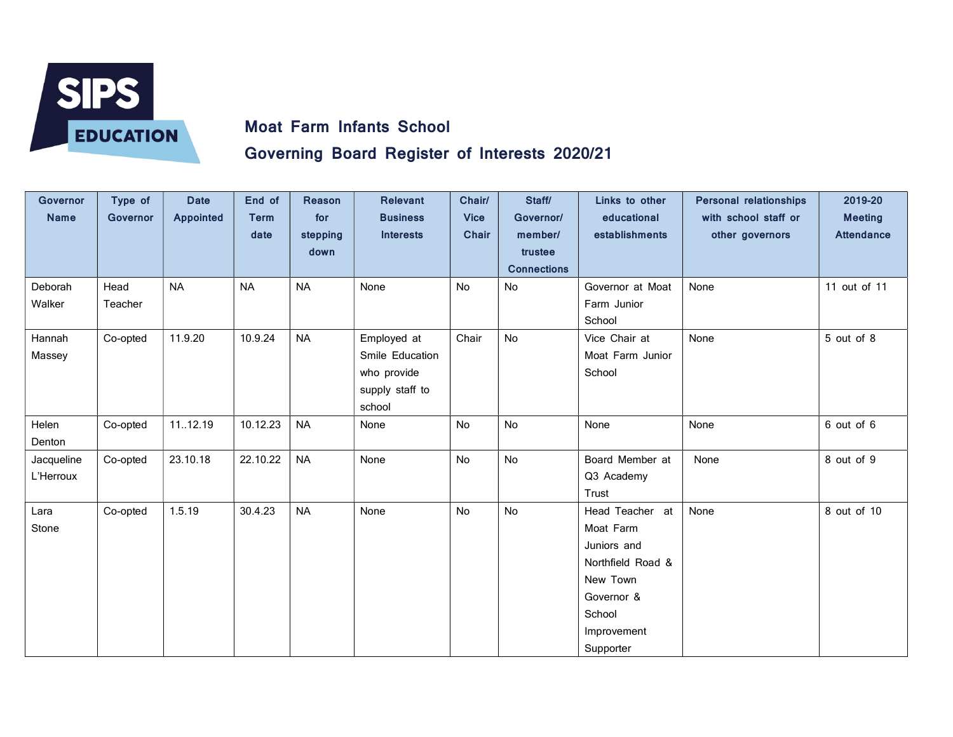

## Governing Board Register of Interests 2020/21

| <b>Governor</b><br><b>Name</b> | Type of<br><b>Governor</b> | <b>Date</b><br><b>Appointed</b> | End of<br><b>Term</b><br>date | <b>Reason</b><br>for<br>stepping<br>down | <b>Relevant</b><br><b>Business</b><br><b>Interests</b>                     | Chair/<br><b>Vice</b><br><b>Chair</b> | Staff/<br>Governor/<br>member/<br>trustee<br><b>Connections</b> | Links to other<br>educational<br>establishments                                                                                  | <b>Personal relationships</b><br>with school staff or<br>other governors | 2019-20<br><b>Meeting</b><br><b>Attendance</b> |
|--------------------------------|----------------------------|---------------------------------|-------------------------------|------------------------------------------|----------------------------------------------------------------------------|---------------------------------------|-----------------------------------------------------------------|----------------------------------------------------------------------------------------------------------------------------------|--------------------------------------------------------------------------|------------------------------------------------|
| Deborah<br>Walker              | Head<br>Teacher            | <b>NA</b>                       | <b>NA</b>                     | <b>NA</b>                                | None                                                                       | No                                    | No                                                              | Governor at Moat<br>Farm Junior<br>School                                                                                        | None                                                                     | 11 out of 11                                   |
| Hannah<br>Massey               | Co-opted                   | 11.9.20                         | 10.9.24                       | <b>NA</b>                                | Employed at<br>Smile Education<br>who provide<br>supply staff to<br>school | Chair                                 | No                                                              | Vice Chair at<br>Moat Farm Junior<br>School                                                                                      | None                                                                     | 5 out of 8                                     |
| Helen<br>Denton                | Co-opted                   | 1112.19                         | 10.12.23                      | <b>NA</b>                                | None                                                                       | No                                    | No                                                              | None                                                                                                                             | None                                                                     | 6 out of 6                                     |
| Jacqueline<br>L'Herroux        | Co-opted                   | 23.10.18                        | 22.10.22                      | <b>NA</b>                                | None                                                                       | <b>No</b>                             | No                                                              | Board Member at<br>Q3 Academy<br>Trust                                                                                           | None                                                                     | 8 out of 9                                     |
| Lara<br>Stone                  | Co-opted                   | 1.5.19                          | 30.4.23                       | <b>NA</b>                                | None                                                                       | <b>No</b>                             | No                                                              | Head Teacher at<br>Moat Farm<br>Juniors and<br>Northfield Road &<br>New Town<br>Governor &<br>School<br>Improvement<br>Supporter | None                                                                     | 8 out of 10                                    |